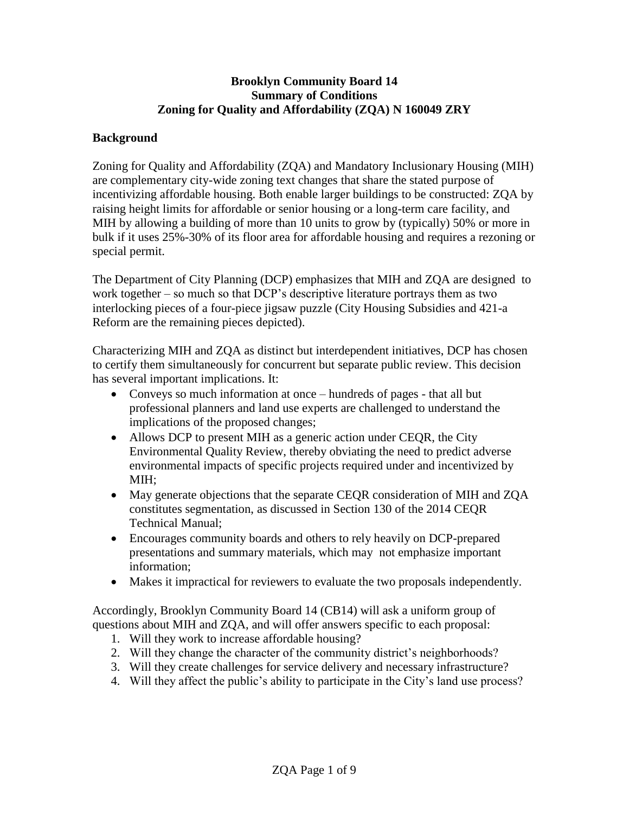### **Brooklyn Community Board 14 Summary of Conditions Zoning for Quality and Affordability (ZQA) N 160049 ZRY**

#### **Background**

Zoning for Quality and Affordability (ZQA) and Mandatory Inclusionary Housing (MIH) are complementary city-wide zoning text changes that share the stated purpose of incentivizing affordable housing. Both enable larger buildings to be constructed: ZQA by raising height limits for affordable or senior housing or a long-term care facility, and MIH by allowing a building of more than 10 units to grow by (typically) 50% or more in bulk if it uses 25%-30% of its floor area for affordable housing and requires a rezoning or special permit.

The Department of City Planning (DCP) emphasizes that MIH and ZQA are designed to work together – so much so that DCP's descriptive literature portrays them as two interlocking pieces of a four-piece jigsaw puzzle (City Housing Subsidies and 421-a Reform are the remaining pieces depicted).

Characterizing MIH and ZQA as distinct but interdependent initiatives, DCP has chosen to certify them simultaneously for concurrent but separate public review. This decision has several important implications. It:

- Conveys so much information at once hundreds of pages that all but professional planners and land use experts are challenged to understand the implications of the proposed changes;
- Allows DCP to present MIH as a generic action under CEQR, the City Environmental Quality Review, thereby obviating the need to predict adverse environmental impacts of specific projects required under and incentivized by MIH;
- May generate objections that the separate CEQR consideration of MIH and ZQA constitutes segmentation, as discussed in Section 130 of the 2014 CEQR Technical Manual;
- Encourages community boards and others to rely heavily on DCP-prepared presentations and summary materials, which may not emphasize important information;
- Makes it impractical for reviewers to evaluate the two proposals independently.

Accordingly, Brooklyn Community Board 14 (CB14) will ask a uniform group of questions about MIH and ZQA, and will offer answers specific to each proposal:

- 1. Will they work to increase affordable housing?
- 2. Will they change the character of the community district's neighborhoods?
- 3. Will they create challenges for service delivery and necessary infrastructure?
- 4. Will they affect the public's ability to participate in the City's land use process?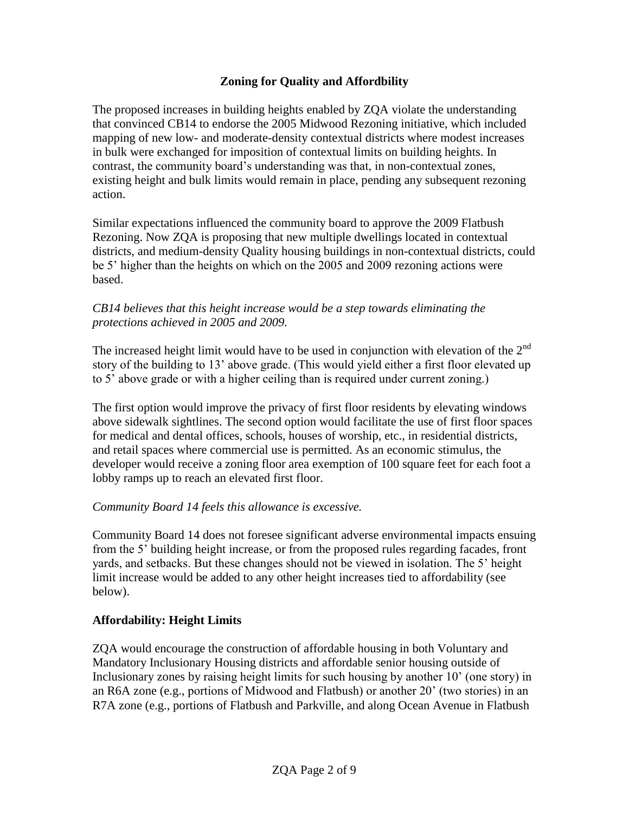## **Zoning for Quality and Affordbility**

The proposed increases in building heights enabled by ZQA violate the understanding that convinced CB14 to endorse the 2005 Midwood Rezoning initiative, which included mapping of new low- and moderate-density contextual districts where modest increases in bulk were exchanged for imposition of contextual limits on building heights. In contrast, the community board's understanding was that, in non-contextual zones, existing height and bulk limits would remain in place, pending any subsequent rezoning action.

Similar expectations influenced the community board to approve the 2009 Flatbush Rezoning. Now ZQA is proposing that new multiple dwellings located in contextual districts, and medium-density Quality housing buildings in non-contextual districts, could be 5' higher than the heights on which on the 2005 and 2009 rezoning actions were based.

#### *CB14 believes that this height increase would be a step towards eliminating the protections achieved in 2005 and 2009.*

The increased height limit would have to be used in conjunction with elevation of the  $2<sup>nd</sup>$ story of the building to 13' above grade. (This would yield either a first floor elevated up to 5' above grade or with a higher ceiling than is required under current zoning.)

The first option would improve the privacy of first floor residents by elevating windows above sidewalk sightlines. The second option would facilitate the use of first floor spaces for medical and dental offices, schools, houses of worship, etc., in residential districts, and retail spaces where commercial use is permitted. As an economic stimulus, the developer would receive a zoning floor area exemption of 100 square feet for each foot a lobby ramps up to reach an elevated first floor.

### *Community Board 14 feels this allowance is excessive.*

Community Board 14 does not foresee significant adverse environmental impacts ensuing from the 5' building height increase, or from the proposed rules regarding facades, front yards, and setbacks. But these changes should not be viewed in isolation. The 5' height limit increase would be added to any other height increases tied to affordability (see below).

### **Affordability: Height Limits**

ZQA would encourage the construction of affordable housing in both Voluntary and Mandatory Inclusionary Housing districts and affordable senior housing outside of Inclusionary zones by raising height limits for such housing by another 10' (one story) in an R6A zone (e.g., portions of Midwood and Flatbush) or another 20' (two stories) in an R7A zone (e.g., portions of Flatbush and Parkville, and along Ocean Avenue in Flatbush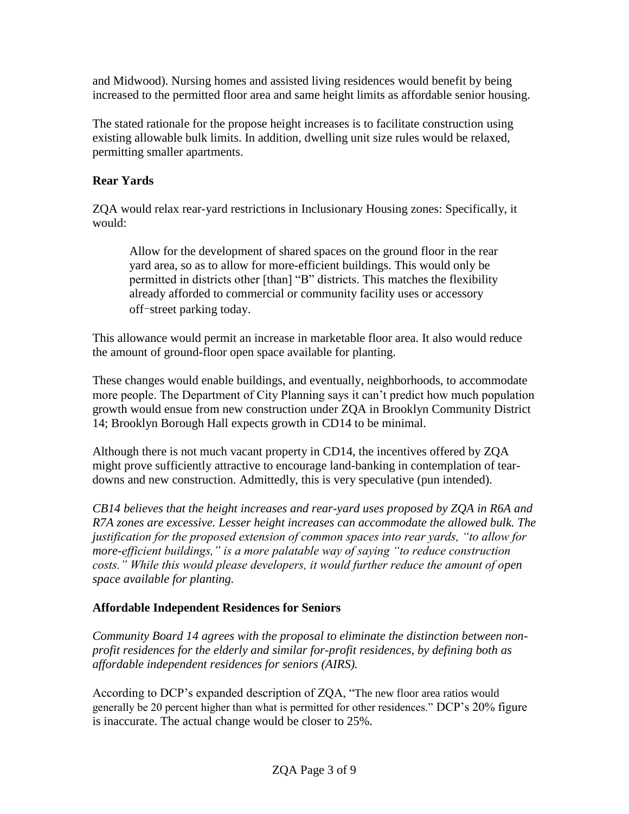and Midwood). Nursing homes and assisted living residences would benefit by being increased to the permitted floor area and same height limits as affordable senior housing.

The stated rationale for the propose height increases is to facilitate construction using existing allowable bulk limits. In addition, dwelling unit size rules would be relaxed, permitting smaller apartments.

# **Rear Yards**

ZQA would relax rear-yard restrictions in Inclusionary Housing zones: Specifically, it would:

Allow for the development of shared spaces on the ground floor in the rear yard area, so as to allow for more-efficient buildings. This would only be permitted in districts other [than] "B" districts. This matches the flexibility already afforded to commercial or community facility uses or accessory off-street parking today.

This allowance would permit an increase in marketable floor area. It also would reduce the amount of ground-floor open space available for planting.

These changes would enable buildings, and eventually, neighborhoods, to accommodate more people. The Department of City Planning says it can't predict how much population growth would ensue from new construction under ZQA in Brooklyn Community District 14; Brooklyn Borough Hall expects growth in CD14 to be minimal.

Although there is not much vacant property in CD14, the incentives offered by ZQA might prove sufficiently attractive to encourage land-banking in contemplation of teardowns and new construction. Admittedly, this is very speculative (pun intended).

*CB14 believes that the height increases and rear-yard uses proposed by ZQA in R6A and R7A zones are excessive. Lesser height increases can accommodate the allowed bulk. The justification for the proposed extension of common spaces into rear yards, "to allow for more-efficient buildings," is a more palatable way of saying "to reduce construction costs." While this would please developers, it would further reduce the amount of open space available for planting.* 

# **Affordable Independent Residences for Seniors**

*Community Board 14 agrees with the proposal to eliminate the distinction between nonprofit residences for the elderly and similar for-profit residences, by defining both as affordable independent residences for seniors (AIRS).* 

According to DCP's expanded description of ZQA, "The new floor area ratios would generally be 20 percent higher than what is permitted for other residences." DCP's 20% figure is inaccurate. The actual change would be closer to 25%.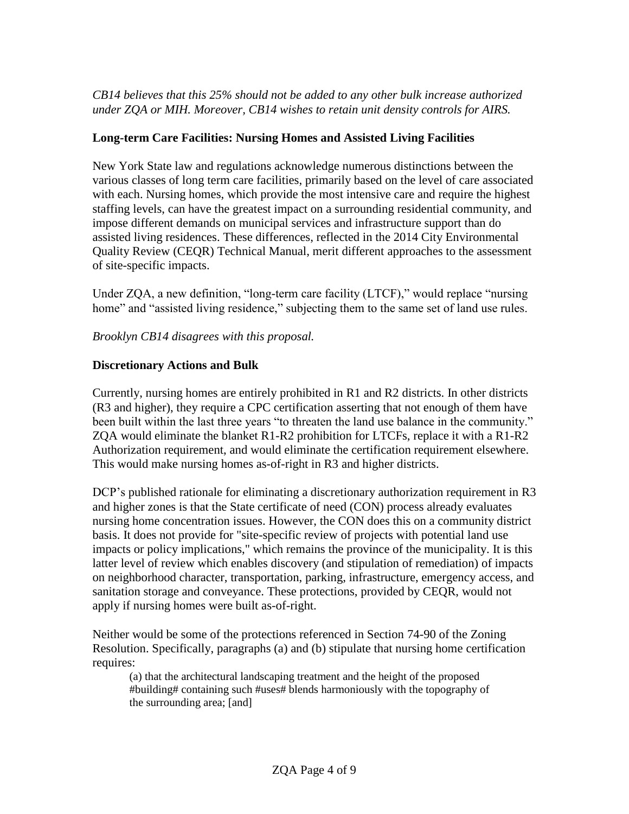## *CB14 believes that this 25% should not be added to any other bulk increase authorized under ZQA or MIH. Moreover, CB14 wishes to retain unit density controls for AIRS.*

# **Long-term Care Facilities: Nursing Homes and Assisted Living Facilities**

New York State law and regulations acknowledge numerous distinctions between the various classes of long term care facilities, primarily based on the level of care associated with each. Nursing homes, which provide the most intensive care and require the highest staffing levels, can have the greatest impact on a surrounding residential community, and impose different demands on municipal services and infrastructure support than do assisted living residences. These differences, reflected in the 2014 City Environmental Quality Review (CEQR) Technical Manual, merit different approaches to the assessment of site-specific impacts.

Under ZQA, a new definition, "long-term care facility (LTCF)," would replace "nursing home" and "assisted living residence," subjecting them to the same set of land use rules.

*Brooklyn CB14 disagrees with this proposal.* 

# **Discretionary Actions and Bulk**

Currently, nursing homes are entirely prohibited in R1 and R2 districts. In other districts (R3 and higher), they require a CPC certification asserting that not enough of them have been built within the last three years "to threaten the land use balance in the community." ZQA would eliminate the blanket R1-R2 prohibition for LTCFs, replace it with a R1-R2 Authorization requirement, and would eliminate the certification requirement elsewhere. This would make nursing homes as-of-right in R3 and higher districts.

DCP's published rationale for eliminating a discretionary authorization requirement in R3 and higher zones is that the State certificate of need (CON) process already evaluates nursing home concentration issues. However, the CON does this on a community district basis. It does not provide for "site-specific review of projects with potential land use impacts or policy implications," which remains the province of the municipality. It is this latter level of review which enables discovery (and stipulation of remediation) of impacts on neighborhood character, transportation, parking, infrastructure, emergency access, and sanitation storage and conveyance. These protections, provided by CEQR, would not apply if nursing homes were built as-of-right.

Neither would be some of the protections referenced in Section 74-90 of the Zoning Resolution. Specifically, paragraphs (a) and (b) stipulate that nursing home certification requires:

(a) that the architectural landscaping treatment and the height of the proposed #building# containing such #uses# blends harmoniously with the topography of the surrounding area; [and]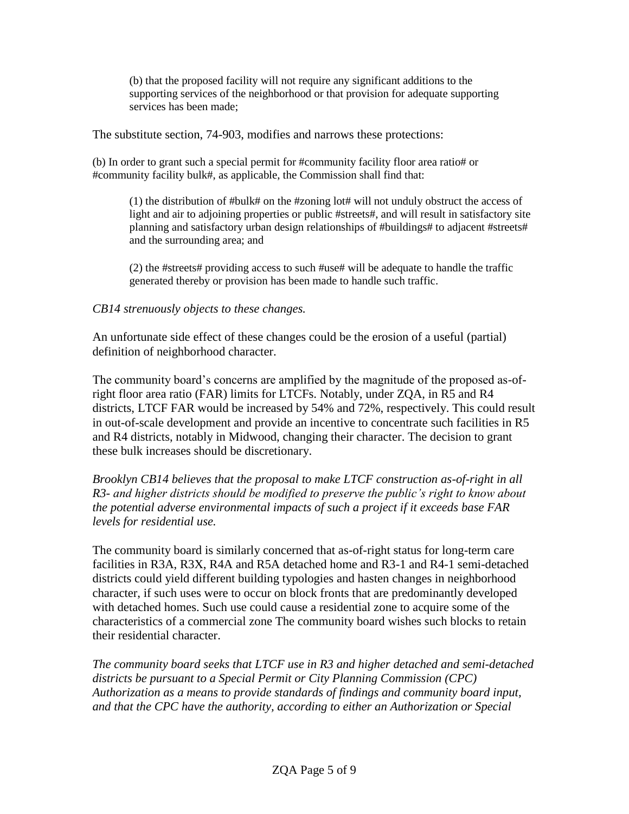(b) that the proposed facility will not require any significant additions to the supporting services of the neighborhood or that provision for adequate supporting services has been made;

The substitute section, 74-903, modifies and narrows these protections:

(b) In order to grant such a special permit for #community facility floor area ratio# or #community facility bulk#, as applicable, the Commission shall find that:

(1) the distribution of #bulk# on the #zoning lot# will not unduly obstruct the access of light and air to adjoining properties or public #streets#, and will result in satisfactory site planning and satisfactory urban design relationships of #buildings# to adjacent #streets# and the surrounding area; and

(2) the #streets# providing access to such #use# will be adequate to handle the traffic generated thereby or provision has been made to handle such traffic.

#### *CB14 strenuously objects to these changes.*

An unfortunate side effect of these changes could be the erosion of a useful (partial) definition of neighborhood character.

The community board's concerns are amplified by the magnitude of the proposed as-ofright floor area ratio (FAR) limits for LTCFs. Notably, under ZQA, in R5 and R4 districts, LTCF FAR would be increased by 54% and 72%, respectively. This could result in out-of-scale development and provide an incentive to concentrate such facilities in R5 and R4 districts, notably in Midwood, changing their character. The decision to grant these bulk increases should be discretionary.

*Brooklyn CB14 believes that the proposal to make LTCF construction as-of-right in all R3- and higher districts should be modified to preserve the public's right to know about the potential adverse environmental impacts of such a project if it exceeds base FAR levels for residential use.* 

The community board is similarly concerned that as-of-right status for long-term care facilities in R3A, R3X, R4A and R5A detached home and R3-1 and R4-1 semi-detached districts could yield different building typologies and hasten changes in neighborhood character, if such uses were to occur on block fronts that are predominantly developed with detached homes. Such use could cause a residential zone to acquire some of the characteristics of a commercial zone The community board wishes such blocks to retain their residential character.

*The community board seeks that LTCF use in R3 and higher detached and semi-detached districts be pursuant to a Special Permit or City Planning Commission (CPC) Authorization as a means to provide standards of findings and community board input, and that the CPC have the authority, according to either an Authorization or Special*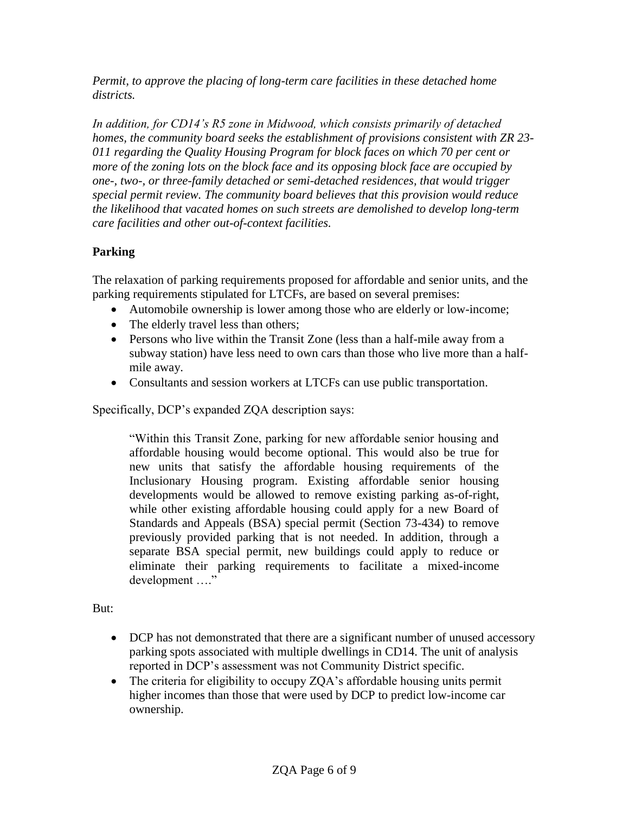*Permit, to approve the placing of long-term care facilities in these detached home districts.*

*In addition, for CD14's R5 zone in Midwood, which consists primarily of detached homes, the community board seeks the establishment of provisions consistent with ZR 23- 011 regarding the Quality Housing Program for block faces on which 70 per cent or more of the zoning lots on the block face and its opposing block face are occupied by one-, two-, or three-family detached or semi-detached residences, that would trigger special permit review. The community board believes that this provision would reduce the likelihood that vacated homes on such streets are demolished to develop long-term care facilities and other out-of-context facilities.*

# **Parking**

The relaxation of parking requirements proposed for affordable and senior units, and the parking requirements stipulated for LTCFs, are based on several premises:

- Automobile ownership is lower among those who are elderly or low-income;
- The elderly travel less than others;
- Persons who live within the Transit Zone (less than a half-mile away from a subway station) have less need to own cars than those who live more than a halfmile away.
- Consultants and session workers at LTCFs can use public transportation.

Specifically, DCP's expanded ZQA description says:

"Within this Transit Zone, parking for new affordable senior housing and affordable housing would become optional. This would also be true for new units that satisfy the affordable housing requirements of the Inclusionary Housing program. Existing affordable senior housing developments would be allowed to remove existing parking as-of-right, while other existing affordable housing could apply for a new Board of Standards and Appeals (BSA) special permit (Section 73-434) to remove previously provided parking that is not needed. In addition, through a separate BSA special permit, new buildings could apply to reduce or eliminate their parking requirements to facilitate a mixed-income development …."

But:

- DCP has not demonstrated that there are a significant number of unused accessory parking spots associated with multiple dwellings in CD14. The unit of analysis reported in DCP's assessment was not Community District specific.
- The criteria for eligibility to occupy ZQA's affordable housing units permit higher incomes than those that were used by DCP to predict low-income car ownership.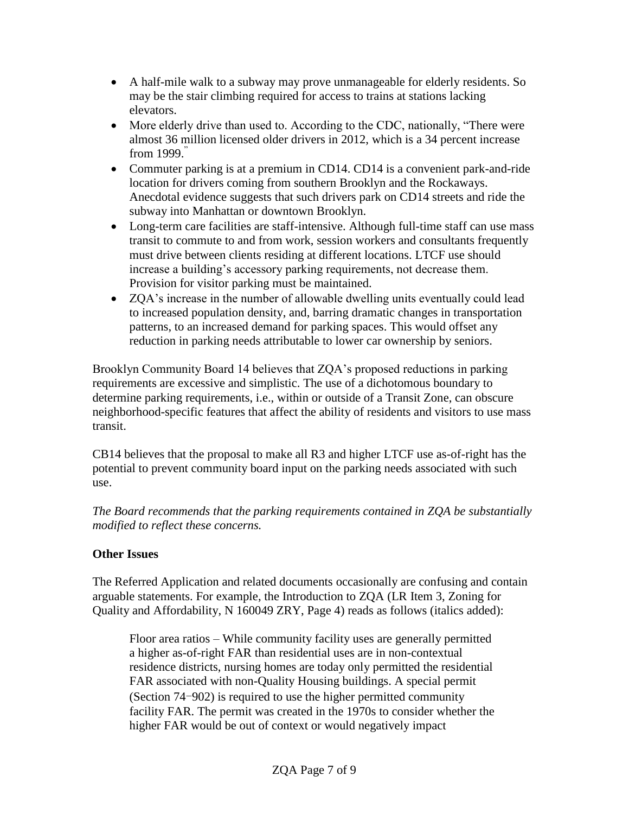- A half-mile walk to a subway may prove unmanageable for elderly residents. So may be the stair climbing required for access to trains at stations lacking elevators.
- More elderly drive than used to. According to the CDC, nationally, "There were almost 36 million licensed older drivers in 2012, which is a 34 percent increase from 1999."
- Commuter parking is at a premium in CD14. CD14 is a convenient park-and-ride location for drivers coming from southern Brooklyn and the Rockaways. Anecdotal evidence suggests that such drivers park on CD14 streets and ride the subway into Manhattan or downtown Brooklyn.
- Long-term care facilities are staff-intensive. Although full-time staff can use mass transit to commute to and from work, session workers and consultants frequently must drive between clients residing at different locations. LTCF use should increase a building's accessory parking requirements, not decrease them. Provision for visitor parking must be maintained.
- ZQA's increase in the number of allowable dwelling units eventually could lead to increased population density, and, barring dramatic changes in transportation patterns, to an increased demand for parking spaces. This would offset any reduction in parking needs attributable to lower car ownership by seniors.

Brooklyn Community Board 14 believes that ZQA's proposed reductions in parking requirements are excessive and simplistic. The use of a dichotomous boundary to determine parking requirements, i.e., within or outside of a Transit Zone, can obscure neighborhood-specific features that affect the ability of residents and visitors to use mass transit.

CB14 believes that the proposal to make all R3 and higher LTCF use as-of-right has the potential to prevent community board input on the parking needs associated with such use.

*The Board recommends that the parking requirements contained in ZQA be substantially modified to reflect these concerns.*

# **Other Issues**

The Referred Application and related documents occasionally are confusing and contain arguable statements. For example, the Introduction to ZQA (LR Item 3, Zoning for Quality and Affordability, N 160049 ZRY, Page 4) reads as follows (italics added):

Floor area ratios – While community facility uses are generally permitted a higher as-of-right FAR than residential uses are in non-contextual residence districts, nursing homes are today only permitted the residential FAR associated with non-Quality Housing buildings. A special permit (Section 74-902) is required to use the higher permitted community facility FAR. The permit was created in the 1970s to consider whether the higher FAR would be out of context or would negatively impact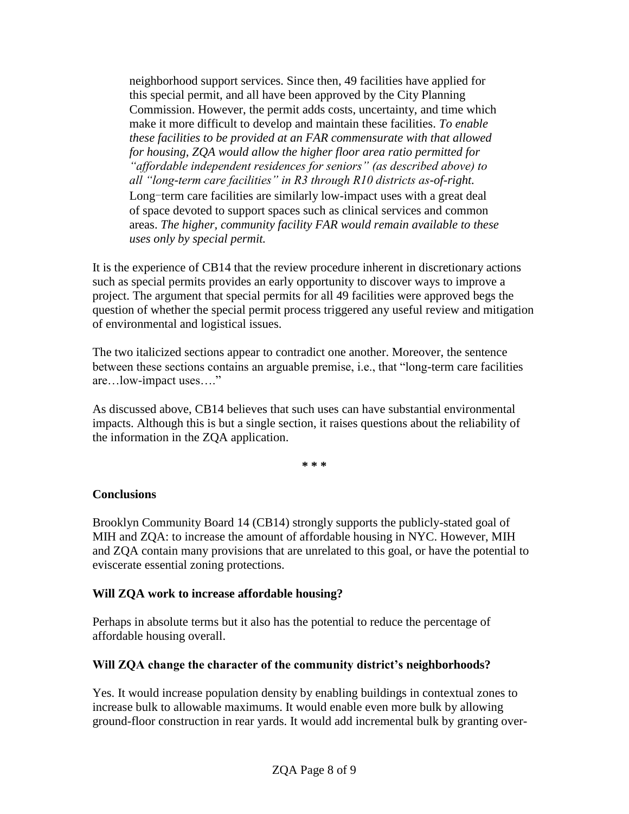neighborhood support services. Since then, 49 facilities have applied for this special permit, and all have been approved by the City Planning Commission. However, the permit adds costs, uncertainty, and time which make it more difficult to develop and maintain these facilities. *To enable these facilities to be provided at an FAR commensurate with that allowed for housing, ZQA would allow the higher floor area ratio permitted for "affordable independent residences for seniors" (as described above) to all "long-term care facilities" in R3 through R10 districts as-of-right.* Long-term care facilities are similarly low-impact uses with a great deal of space devoted to support spaces such as clinical services and common areas. *The higher, community facility FAR would remain available to these uses only by special permit.*

It is the experience of CB14 that the review procedure inherent in discretionary actions such as special permits provides an early opportunity to discover ways to improve a project. The argument that special permits for all 49 facilities were approved begs the question of whether the special permit process triggered any useful review and mitigation of environmental and logistical issues.

The two italicized sections appear to contradict one another. Moreover, the sentence between these sections contains an arguable premise, i.e., that "long-term care facilities are…low-impact uses…."

As discussed above, CB14 believes that such uses can have substantial environmental impacts. Although this is but a single section, it raises questions about the reliability of the information in the ZQA application.

**\* \* \***

### **Conclusions**

Brooklyn Community Board 14 (CB14) strongly supports the publicly-stated goal of MIH and ZQA: to increase the amount of affordable housing in NYC. However, MIH and ZQA contain many provisions that are unrelated to this goal, or have the potential to eviscerate essential zoning protections.

### **Will ZQA work to increase affordable housing?**

Perhaps in absolute terms but it also has the potential to reduce the percentage of affordable housing overall.

# **Will ZQA change the character of the community district's neighborhoods?**

Yes. It would increase population density by enabling buildings in contextual zones to increase bulk to allowable maximums. It would enable even more bulk by allowing ground-floor construction in rear yards. It would add incremental bulk by granting over